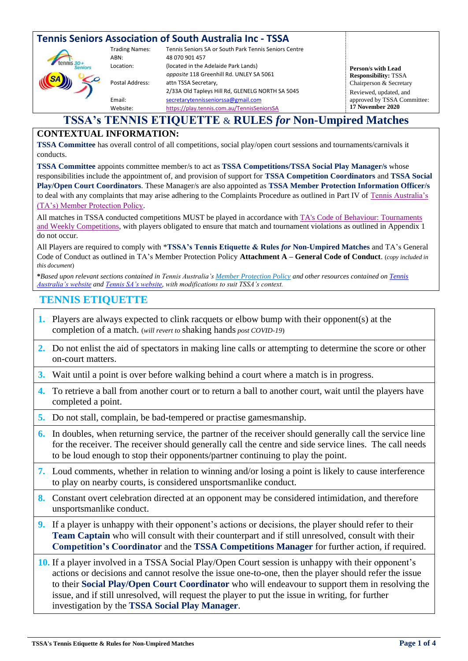| <b>Tennis Seniors Association of South Australia Inc - TSSA</b> |                                                               |                                                                                                                                                                                     |                                                                              |
|-----------------------------------------------------------------|---------------------------------------------------------------|-------------------------------------------------------------------------------------------------------------------------------------------------------------------------------------|------------------------------------------------------------------------------|
|                                                                 | <b>Trading Names:</b><br>ABN:<br>Location:<br>Postal Address: | Tennis Seniors SA or South Park Tennis Seniors Centre<br>48 070 901 457<br>(located in the Adelaide Park Lands)<br>opposite 118 Greenhill Rd. UNLEY SA 5061<br>attn TSSA Secretary, | Person/s with Lead<br><b>Responsibility: TSSA</b><br>Chairperson & Secretary |
|                                                                 | Email:<br>Website:                                            | 2/33A Old Tapleys Hill Rd, GLENELG NORTH SA 5045<br>secretarytennisseniorssa@gmail.com<br>https://play.tennis.com.au/TennisSeniorsSA                                                | Reviewed, updated, and<br>approved by TSSA Committee:<br>17 November 2020    |

### **TSSA's TENNIS ETIQUETTE** & **RULES** *for* **Non-Umpired Matches**

#### **CONTEXTUAL INFORMATION:**

**TSSA Committee** has overall control of all competitions, social play/open court sessions and tournaments/carnivals it conducts.

**TSSA Committee** appoints committee member/s to act as **TSSA Competitions/TSSA Social Play Manager/s** whose responsibilities include the appointment of, and provision of support for **TSSA Competition Coordinators** and **TSSA Social Play/Open Court Coordinators**. These Manager/s are also appointed as **TSSA Member Protection Information Officer/s** to deal with any complaints that may arise adhering to the Complaints Procedure as outlined in Part IV of [Tennis Australia's](https://www.gbjt.org.au/uploads/doc/Tennis-Australia-Member-Protection-Policy-2016-1.pdf)  [\(TA's\) Member Protection Policy.](https://www.gbjt.org.au/uploads/doc/Tennis-Australia-Member-Protection-Policy-2016-1.pdf)

All matches in TSSA conducted competitions MUST be played in accordance with [TA's Code of Behaviour: Tournaments](https://www.tennis.com.au/wp-content/uploads/2017/05/TA-Code-of-Behaviour-Tournaments-and-Weekly-Competitions.pdf)  [and Weekly Competitions,](https://www.tennis.com.au/wp-content/uploads/2017/05/TA-Code-of-Behaviour-Tournaments-and-Weekly-Competitions.pdf) with players obligated to ensure that match and tournament violations as outlined in Appendix 1 do not occur.

All Players are required to comply with \***TSSA's Tennis Etiquette & Rules** *for* **Non-Umpired Matches** and TA's General Code of Conduct as outlined in TA's Member Protection Policy **Attachment A – General Code of Conduct**. (*copy included in this document*)

**\****Based upon relevant sections contained in Tennis Australia'[s Member Protection Policy](https://www.gbjt.org.au/uploads/doc/Tennis-Australia-Member-Protection-Policy-2016-1.pdf) and other resources contained o[n Tennis](https://www.tennis.com.au/)  [Australia's website](https://www.tennis.com.au/) an[d Tennis SA's website,](https://www.tennis.com.au/sa/) with modifications to suit TSSA's context.*

### **TENNIS ETIQUETTE**

- **1.** Players are always expected to clink racquets or elbow bump with their opponent(s) at the completion of a match. (*will revert to* shaking hands *post COVID-19*)
- **2.** Do not enlist the aid of spectators in making line calls or attempting to determine the score or other on-court matters.
- **3.** Wait until a point is over before walking behind a court where a match is in progress.
- **4.** To retrieve a ball from another court or to return a ball to another court, wait until the players have completed a point.
- **5.** Do not stall, complain, be bad-tempered or practise gamesmanship.
- **6.** In doubles, when returning service, the partner of the receiver should generally call the service line for the receiver. The receiver should generally call the centre and side service lines. The call needs to be loud enough to stop their opponents/partner continuing to play the point.
- **7.** Loud comments, whether in relation to winning and/or losing a point is likely to cause interference to play on nearby courts, is considered unsportsmanlike conduct.
- **8.** Constant overt celebration directed at an opponent may be considered intimidation, and therefore unsportsmanlike conduct.
- **9.** If a player is unhappy with their opponent's actions or decisions, the player should refer to their **Team Captain** who will consult with their counterpart and if still unresolved, consult with their **Competition's Coordinator** and the **TSSA Competitions Manager** for further action, if required.

**10.** If a player involved in a TSSA Social Play/Open Court session is unhappy with their opponent's actions or decisions and cannot resolve the issue one-to-one, then the player should refer the issue to their **Social Play/Open Court Coordinator** who will endeavour to support them in resolving the issue, and if still unresolved, will request the player to put the issue in writing, for further investigation by the **TSSA Social Play Manager**.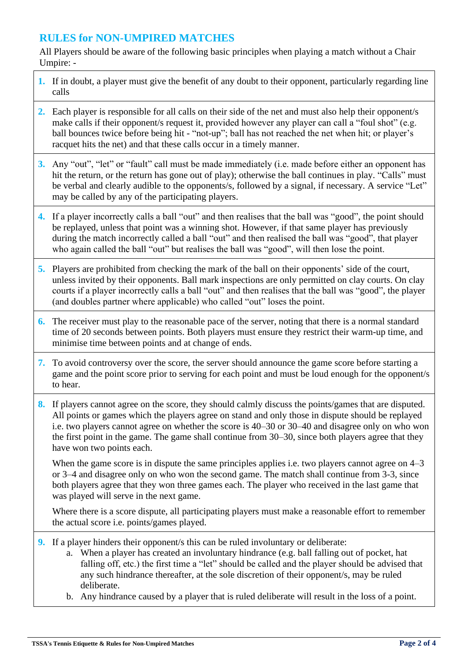# **RULES for NON-UMPIRED MATCHES**

All Players should be aware of the following basic principles when playing a match without a Chair Umpire: -

- **1.** If in doubt, a player must give the benefit of any doubt to their opponent, particularly regarding line calls
- **2.** Each player is responsible for all calls on their side of the net and must also help their opponent/s make calls if their opponent/s request it, provided however any player can call a "foul shot" (e.g. ball bounces twice before being hit - "not-up"; ball has not reached the net when hit; or player's racquet hits the net) and that these calls occur in a timely manner.
- **3.** Any "out", "let" or "fault" call must be made immediately (i.e. made before either an opponent has hit the return, or the return has gone out of play); otherwise the ball continues in play. "Calls" must be verbal and clearly audible to the opponents/s, followed by a signal, if necessary. A service "Let" may be called by any of the participating players.
- **4.** If a player incorrectly calls a ball "out" and then realises that the ball was "good", the point should be replayed, unless that point was a winning shot. However, if that same player has previously during the match incorrectly called a ball "out" and then realised the ball was "good", that player who again called the ball "out" but realises the ball was "good", will then lose the point.
- **5.** Players are prohibited from checking the mark of the ball on their opponents' side of the court, unless invited by their opponents. Ball mark inspections are only permitted on clay courts. On clay courts if a player incorrectly calls a ball "out" and then realises that the ball was "good", the player (and doubles partner where applicable) who called "out" loses the point.
- **6.** The receiver must play to the reasonable pace of the server, noting that there is a normal standard time of 20 seconds between points. Both players must ensure they restrict their warm-up time, and minimise time between points and at change of ends.
- **7.** To avoid controversy over the score, the server should announce the game score before starting a game and the point score prior to serving for each point and must be loud enough for the opponent/s to hear.
- **8.** If players cannot agree on the score, they should calmly discuss the points/games that are disputed. All points or games which the players agree on stand and only those in dispute should be replayed i.e. two players cannot agree on whether the score is 40–30 or 30–40 and disagree only on who won the first point in the game. The game shall continue from 30–30, since both players agree that they have won two points each.

When the game score is in dispute the same principles applies i.e. two players cannot agree on  $4-3$ or 3–4 and disagree only on who won the second game. The match shall continue from 3-3, since both players agree that they won three games each. The player who received in the last game that was played will serve in the next game.

Where there is a score dispute, all participating players must make a reasonable effort to remember the actual score i.e. points/games played.

- **9.** If a player hinders their opponent/s this can be ruled involuntary or deliberate:
	- a. When a player has created an involuntary hindrance (e.g. ball falling out of pocket, hat falling off, etc.) the first time a "let" should be called and the player should be advised that any such hindrance thereafter, at the sole discretion of their opponent/s, may be ruled deliberate.
	- b. Any hindrance caused by a player that is ruled deliberate will result in the loss of a point.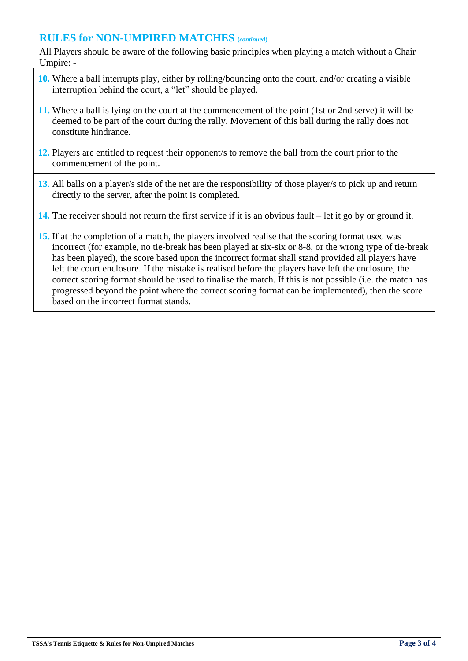## **RULES for NON-UMPIRED MATCHES (***continued***)**

All Players should be aware of the following basic principles when playing a match without a Chair Umpire: -

- **10.** Where a ball interrupts play, either by rolling/bouncing onto the court, and/or creating a visible interruption behind the court, a "let" should be played.
- **11.** Where a ball is lying on the court at the commencement of the point (1st or 2nd serve) it will be deemed to be part of the court during the rally. Movement of this ball during the rally does not constitute hindrance.
- **12.** Players are entitled to request their opponent/s to remove the ball from the court prior to the commencement of the point.
- **13.** All balls on a player/s side of the net are the responsibility of those player/s to pick up and return directly to the server, after the point is completed.

#### **14.** The receiver should not return the first service if it is an obvious fault – let it go by or ground it.

**15.** If at the completion of a match, the players involved realise that the scoring format used was incorrect (for example, no tie-break has been played at six-six or 8-8, or the wrong type of tie-break has been played), the score based upon the incorrect format shall stand provided all players have left the court enclosure. If the mistake is realised before the players have left the enclosure, the correct scoring format should be used to finalise the match. If this is not possible (i.e. the match has progressed beyond the point where the correct scoring format can be implemented), then the score based on the incorrect format stands.